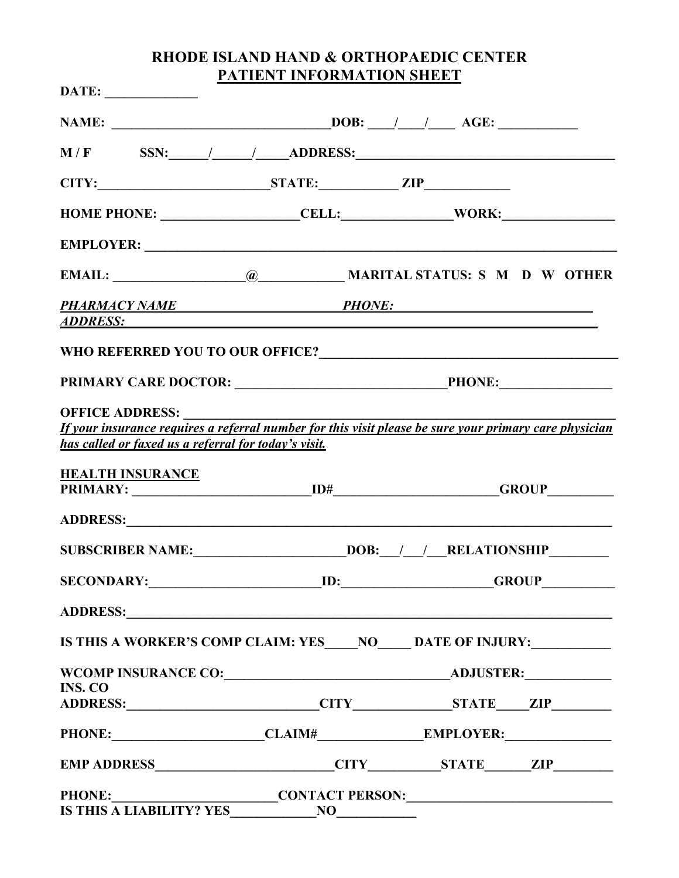# **RHODE ISLAND HAND & ORTHOPAEDIC CENTER PATIENT INFORMATION SHEET**

| $\textbf{DATE:}$                                                                                                                                                                                                               |           |  |  |
|--------------------------------------------------------------------------------------------------------------------------------------------------------------------------------------------------------------------------------|-----------|--|--|
|                                                                                                                                                                                                                                |           |  |  |
| $M/F$ SSN: $/$ ADDRESS:                                                                                                                                                                                                        |           |  |  |
| CITY: STATE: ZIP                                                                                                                                                                                                               |           |  |  |
| HOME PHONE: ___________________CELL:_______________WORK:_________________________                                                                                                                                              |           |  |  |
|                                                                                                                                                                                                                                |           |  |  |
|                                                                                                                                                                                                                                |           |  |  |
| PHARMACY NAME PHONE:<br><u>ADDRESS:</u>                                                                                                                                                                                        |           |  |  |
|                                                                                                                                                                                                                                |           |  |  |
|                                                                                                                                                                                                                                |           |  |  |
| <b>OFFICE ADDRESS:</b><br>If your insurance requires a referral number for this visit please be sure your primary care physician<br>has called or faxed us a referral for today's visit.                                       |           |  |  |
| <b>HEALTH INSURANCE</b>                                                                                                                                                                                                        |           |  |  |
| ADDRESS: North Contract of the Contract of the Contract of the Contract of the Contract of the Contract of the Contract of the Contract of the Contract of the Contract of the Contract of the Contract of the Contract of the |           |  |  |
|                                                                                                                                                                                                                                |           |  |  |
| <b>SECONDARY:</b>                                                                                                                                                                                                              | ED: GROUP |  |  |
| ADDRESS: ADDRESS:                                                                                                                                                                                                              |           |  |  |
| IS THIS A WORKER'S COMP CLAIM: YES_____NO______ DATE OF INJURY:_________________                                                                                                                                               |           |  |  |
|                                                                                                                                                                                                                                |           |  |  |
| <b>INS. CO</b>                                                                                                                                                                                                                 |           |  |  |
|                                                                                                                                                                                                                                |           |  |  |
| EMP ADDRESS CITY STATE ZIP                                                                                                                                                                                                     |           |  |  |
|                                                                                                                                                                                                                                |           |  |  |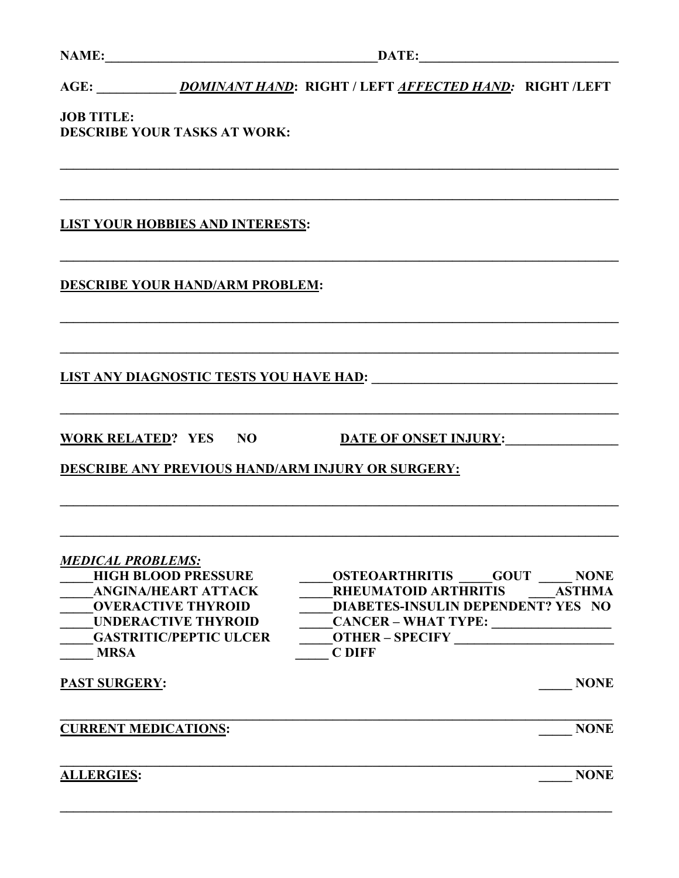AGE: **DOMINANT HAND: RIGHT / LEFT AFFECTED HAND: RIGHT /LEFT** 

**JOB TITLE: DESCRIBE YOUR TASKS AT WORK:** 

**LIST YOUR HOBBIES AND INTERESTS:** 

**DESCRIBE YOUR HAND/ARM PROBLEM:** 

WORK RELATED? YES NO DATE OF ONSET INJURY:

**DESCRIBE ANY PREVIOUS HAND/ARM INJURY OR SURGERY:** 

| <b>MEDICAL PROBLEMS:</b>      |                                                     |
|-------------------------------|-----------------------------------------------------|
| <b>HIGH BLOOD PRESSURE</b>    | <b>OSTEOARTHRITIS</b><br><b>GOUT</b><br><b>NONE</b> |
| <b>ANGINA/HEART ATTACK</b>    | <b>RHEUMATOID ARTHRITIS</b><br><b>ASTHMA</b>        |
| <b>OVERACTIVE THYROID</b>     | DIABETES-INSULIN DEPENDENT? YES NO                  |
| <b>UNDERACTIVE THYROID</b>    | <b>CANCER - WHAT TYPE:</b>                          |
| <b>GASTRITIC/PEPTIC ULCER</b> | <b>OTHER-SPECIFY</b>                                |
| <b>MRSA</b>                   | <b>C DIFF</b>                                       |
| <b>PAST SURGERY:</b>          | <b>NONE</b>                                         |
| <b>CURRENT MEDICATIONS:</b>   | <b>NONE</b>                                         |
| <b>ALLERGIES:</b>             | <b>NONE</b>                                         |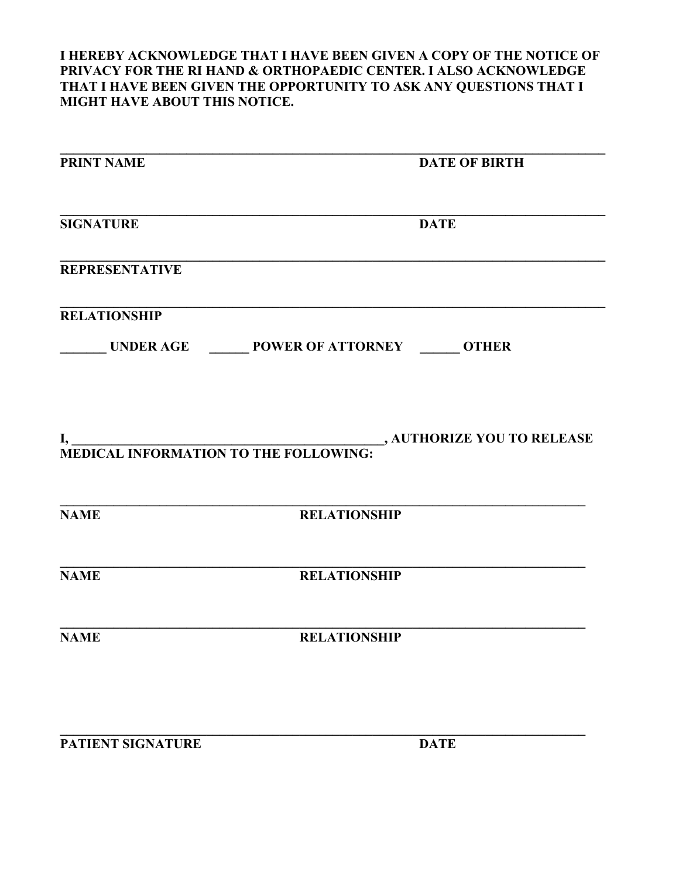**I HEREBY ACKNOWLEDGE THAT I HAVE BEEN GIVEN A COPY OF THE NOTICE OF PRIVACY FOR THE RI HAND & ORTHOPAEDIC CENTER. I ALSO ACKNOWLEDGE THAT I HAVE BEEN GIVEN THE OPPORTUNITY TO ASK ANY QUESTIONS THAT I MIGHT HAVE ABOUT THIS NOTICE.**

| <b>PRINT NAME</b>     |                                                    | <b>DATE OF BIRTH</b> |
|-----------------------|----------------------------------------------------|----------------------|
| <b>SIGNATURE</b>      |                                                    | <b>DATE</b>          |
| <b>REPRESENTATIVE</b> |                                                    |                      |
| <b>RELATIONSHIP</b>   | UNDER AGE ________ POWER OF ATTORNEY _______ OTHER |                      |
|                       |                                                    |                      |
| NAME                  | <b>RELATIONSHIP</b>                                |                      |
| <b>NAME</b>           | <b>RELATIONSHIP</b>                                |                      |
| <b>NAME</b>           | RELATIONSHIP                                       |                      |
|                       |                                                    |                      |

**PATIENT SIGNATURE DATE**

**\_\_\_\_\_\_\_\_\_\_\_\_\_\_\_\_\_\_\_\_\_\_\_\_\_\_\_\_\_\_\_\_\_\_\_\_\_\_\_\_\_\_\_\_\_\_\_\_\_\_\_\_\_\_\_\_\_\_\_\_\_\_\_\_\_\_\_\_\_\_\_\_\_\_\_\_\_\_\_**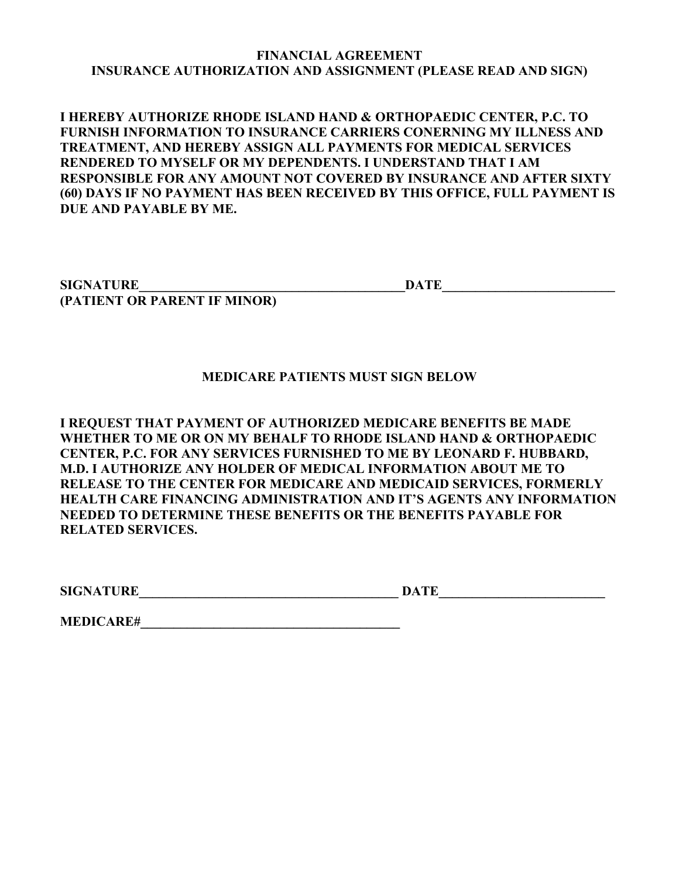### **FINANCIAL AGREEMENT INSURANCE AUTHORIZATION AND ASSIGNMENT (PLEASE READ AND SIGN)**

**I HEREBY AUTHORIZE RHODE ISLAND HAND & ORTHOPAEDIC CENTER, P.C. TO FURNISH INFORMATION TO INSURANCE CARRIERS CONERNING MY ILLNESS AND TREATMENT, AND HEREBY ASSIGN ALL PAYMENTS FOR MEDICAL SERVICES RENDERED TO MYSELF OR MY DEPENDENTS. I UNDERSTAND THAT I AM RESPONSIBLE FOR ANY AMOUNT NOT COVERED BY INSURANCE AND AFTER SIXTY (60) DAYS IF NO PAYMENT HAS BEEN RECEIVED BY THIS OFFICE, FULL PAYMENT IS DUE AND PAYABLE BY ME.**

**SIGNATURE\_\_\_\_\_\_\_\_\_\_\_\_\_\_\_\_\_\_\_\_\_\_\_\_\_\_\_\_\_\_\_\_\_\_\_\_\_\_\_\_DATE\_\_\_\_\_\_\_\_\_\_\_\_\_\_\_\_\_\_\_\_\_\_\_\_\_\_ (PATIENT OR PARENT IF MINOR)**

### **MEDICARE PATIENTS MUST SIGN BELOW**

**I REQUEST THAT PAYMENT OF AUTHORIZED MEDICARE BENEFITS BE MADE WHETHER TO ME OR ON MY BEHALF TO RHODE ISLAND HAND & ORTHOPAEDIC CENTER, P.C. FOR ANY SERVICES FURNISHED TO ME BY LEONARD F. HUBBARD, M.D. I AUTHORIZE ANY HOLDER OF MEDICAL INFORMATION ABOUT ME TO RELEASE TO THE CENTER FOR MEDICARE AND MEDICAID SERVICES, FORMERLY HEALTH CARE FINANCING ADMINISTRATION AND IT'S AGENTS ANY INFORMATION NEEDED TO DETERMINE THESE BENEFITS OR THE BENEFITS PAYABLE FOR RELATED SERVICES.**

 $\blacksquare$  SIGNATURE DATE

**MEDICARE#\_\_\_\_\_\_\_\_\_\_\_\_\_\_\_\_\_\_\_\_\_\_\_\_\_\_\_\_\_\_\_\_\_\_\_\_\_\_\_**